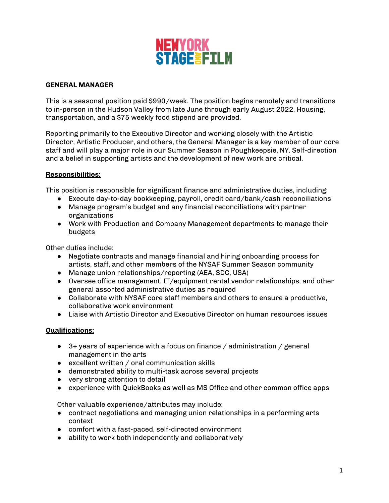

## **GENERAL MANAGER**

This is a seasonal position paid \$990/week. The position begins remotely and transitions to in-person in the Hudson Valley from late June through early August 2022. Housing, transportation, and a \$75 weekly food stipend are provided.

Reporting primarily to the Executive Director and working closely with the Artistic Director, Artistic Producer, and others, the General Manager is a key member of our core staff and will play a major role in our Summer Season in Poughkeepsie, NY. Self-direction and a belief in supporting artists and the development of new work are critical.

## **Responsibilities:**

This position is responsible for significant finance and administrative duties, including:

- Execute day-to-day bookkeeping, payroll, credit card/bank/cash reconciliations
- Manage program's budget and any financial reconciliations with partner organizations
- Work with Production and Company Management departments to manage their budgets

Other duties include:

- Negotiate contracts and manage financial and hiring onboarding process for artists, staff, and other members of the NYSAF Summer Season community
- Manage union relationships/reporting (AEA, SDC, USA)
- Oversee office management, IT/equipment rental vendor relationships, and other general assorted administrative duties as required
- Collaborate with NYSAF core staff members and others to ensure a productive, collaborative work environment
- Liaise with Artistic Director and Executive Director on human resources issues

## **Qualifications:**

- $\bullet$  3+ years of experience with a focus on finance / administration / general management in the arts
- excellent written / oral communication skills
- demonstrated ability to multi-task across several projects
- very strong attention to detail
- experience with QuickBooks as well as MS Office and other common office apps

Other valuable experience/attributes may include:

- contract negotiations and managing union relationships in a performing arts context
- comfort with a fast-paced, self-directed environment
- ability to work both independently and collaboratively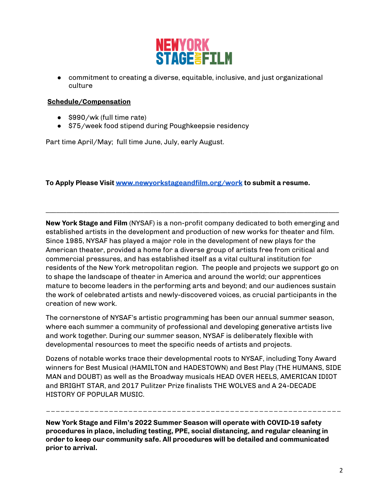

● commitment to creating a diverse, equitable, inclusive, and just organizational culture

## **Schedule/Compensation**

- \$990/wk (full time rate)
- \$75/week food stipend during Poughkeepsie residency

Part time April/May; full time June, July, early August.

**To Apply Please Visit [www.newyorkstageandfilm.org/work](http://www.newyorkstageandfilm.org/work) to submit a resume.**

**New York Stage and Film** (NYSAF) is a non-profit company dedicated to both emerging and established artists in the development and production of new works for theater and film. Since 1985, NYSAF has played a major role in the development of new plays for the American theater, provided a home for a diverse group of artists free from critical and commercial pressures, and has established itself as a vital cultural institution for residents of the New York metropolitan region. The people and projects we support go on to shape the landscape of theater in America and around the world; our apprentices mature to become leaders in the performing arts and beyond; and our audiences sustain the work of celebrated artists and newly-discovered voices, as crucial participants in the creation of new work.

**\_\_\_\_\_\_\_\_\_\_\_\_\_\_\_\_\_\_\_\_\_\_\_\_\_\_\_\_\_\_\_\_\_\_\_\_\_\_\_\_\_\_\_\_\_\_\_\_\_\_\_\_\_\_\_\_\_\_\_\_\_\_\_\_\_\_\_\_\_\_\_\_\_\_\_\_\_\_\_\_\_\_\_\_**

The cornerstone of NYSAF's artistic programming has been our annual summer season, where each summer a community of professional and developing generative artists live and work together. During our summer season, NYSAF is deliberately flexible with developmental resources to meet the specific needs of artists and projects.

Dozens of notable works trace their developmental roots to NYSAF, including Tony Award winners for Best Musical (HAMILTON and HADESTOWN) and Best Play (THE HUMANS, SIDE MAN and DOUBT) as well as the Broadway musicals HEAD OVER HEELS, AMERICAN IDIOT and BRIGHT STAR, and 2017 Pulitzer Prize finalists THE WOLVES and A 24-DECADE HISTORY OF POPULAR MUSIC.

\_\_\_\_\_\_\_\_\_\_\_\_\_\_\_\_\_\_\_\_\_\_\_\_\_\_\_\_\_\_\_\_\_\_\_\_\_\_\_\_\_\_\_\_\_\_\_\_\_\_\_\_\_\_\_\_\_\_\_\_\_

**New York Stage and Film's 2022 Summer Season will operate with COVID-19 safety procedures in place, including testing, PPE, social distancing, and regular cleaning in order to keep our community safe. All procedures will be detailed and communicated prior to arrival.**